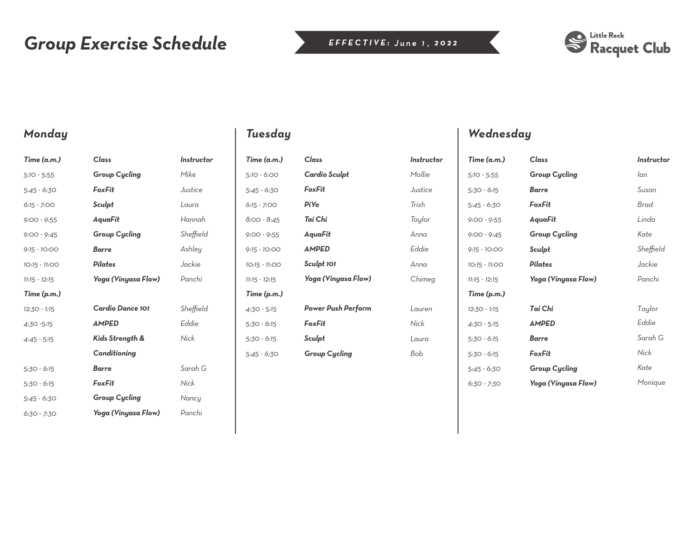# *Group Exercise Schedule*



### *Monday*

| Time (a.m.)     | Class                | <b>Instructor</b> |
|-----------------|----------------------|-------------------|
| $5:10 - 5:55$   | <b>Group Cycling</b> | Mike              |
| $5:45 - 6:30$   | FoxFit               | Justice           |
| $6:15 - 7:00$   | Sculpt               | Laura             |
| $9:00 - 9:55$   | AguaFit              | Hannah            |
| $9:00 - 9:45$   | <b>Group Cycling</b> | Sheffield         |
| $9:15 - 10:00$  | <b>Barre</b>         | Ashley            |
| 10:15 - 11:00   | Pilates              | Jackie            |
| $11:15 - 12:15$ | Yoga (Vinyasa Flow)  | Panchi            |
| Time (p.m.)     |                      |                   |
| 12:30 - 1:15    | Cardio Dance 101     | Sheffield         |
| 4:30 - 5:15     | <b>AMPED</b>         | Eddie             |
| $4:45 - 5:15$   | Kids Strength &      | Nick              |
|                 | Conditioning         |                   |
| $5:30 - 6:15$   | Barre                | Sarah G           |
| $5:30 - 6:15$   | FoxFit               | Nick              |
| $5:45 - 6:30$   | <b>Group Cycling</b> | Nancy             |
| 6:30 - 7:30     | Yoga (Vinyasa Flow)  | Panchi            |

| Time (a.m.)     | Class                     | Instructor |
|-----------------|---------------------------|------------|
| 5:10 - 6:00     | Cardio Sculpt             | Mollie     |
| 5:45 - 6:30     | FoxFit                    | Justice    |
| $6:15 - 7:00$   | <b>PiYo</b>               | Trish      |
| $8:00 - 8:45$   | Tai Chi                   | Taylor     |
| $9:00 - 9:55$   | AquaFit                   | Anna       |
| $9:15 - 10:00$  | <b>AMPED</b>              | Fddie      |
| 10:15 - 11:00   | Sculpt 101                | Anna       |
| $11:15 - 12:15$ | Yoga (Vinyasa Flow)       | Chimeg     |
| Time (p.m.)     |                           |            |
| $4:30 - 5:15$   | <b>Power Push Perform</b> | Lauren     |
| $5:30 - 6:15$   | FoxFit                    | Nick       |
| $5:30 - 6:15$   | Sculpt                    | Laura      |
| 5:45 - 6:30     | <b>Group Cycling</b>      | Bob        |

### *Tuesday Wednesday*

| Time (a.m.)     | Class                | <b>Instructor</b> |
|-----------------|----------------------|-------------------|
| $5:10 - 5:55$   | <b>Group Cycling</b> | lan               |
| $5:30 - 6:15$   | <b>Barre</b>         | Susan             |
| $5:45 - 6:30$   | FoxFit               | Brad              |
| $9:00 - 9:55$   | AquaFit              | Linda             |
| $9:00 - 9:45$   | <b>Group Cycling</b> | Kate              |
| $9:15 - 10:00$  | Sculpt               | Sheffield         |
| 10:15 - 11:00   | Pilates              | Jackie            |
| $11:15 - 12:15$ | Yoga (Vinyasa Flow)  | Panchi            |
| Time (p.m.)     |                      |                   |
| 12:30 - 1:15    | Tai Chi              | Taylor            |
| $4:30 - 5:15$   | <b>AMPED</b>         | Eddie             |
| $5:30 - 6:15$   | <b>Barre</b>         | Sarah G           |
| $5:30 - 6:15$   | FoxFit               | Nick              |
| 5:45 - 6:30     | <b>Group Cycling</b> | Kate              |
| $6:30 - 7:30$   | Yoga (Vinyasa Flow)  | Monique           |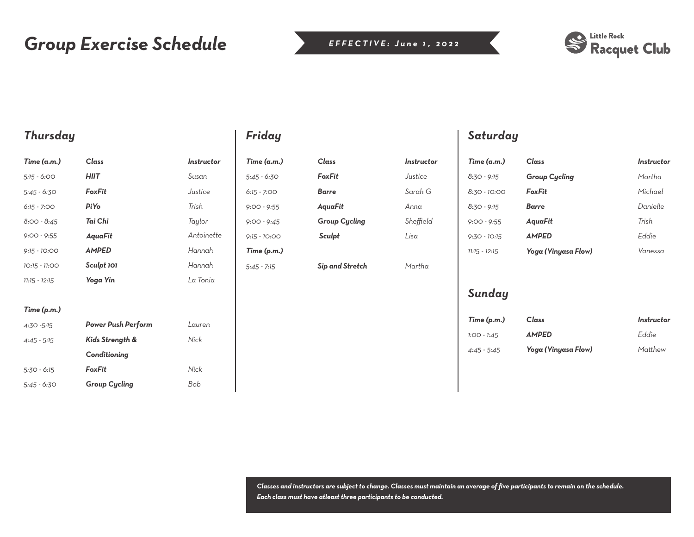# *Group Exercise Schedule*



### *Thursday*

| Time (a.m.)     | Class                    | Instructor |
|-----------------|--------------------------|------------|
| $5:15 - 6:00$   | <b>HIIT</b>              | Susan      |
| 5:45 - 6:30     | FoxFit                   | Justice    |
| $6:15 - 7:00$   | <b>Pi</b> Y <sub>o</sub> | Trish      |
| $8:00 - 8:45$   | Tai Chi                  | Taylor     |
| $9:00 - 9:55$   | AguaFit                  | Antoinette |
| $9:15 - 10:00$  | <b>AMPED</b>             | Hannah     |
| 10:15 - 11:00   | Sculpt 101               | Hannah     |
| $11:15 - 12:15$ | Yoga Yin                 | La Tonia   |
|                 |                          |            |

#### *Time (p.m.)*

| $4:30 - 5:15$ | <b>Power Push Perform</b> | Lauren |
|---------------|---------------------------|--------|
| $4:45 - 5:15$ | Kids Strength &           | Nick   |
|               | Conditioning              |        |
| $5:30 - 6:15$ | FoxFit                    | Nick   |
| $5:45 - 6:30$ | <b>Group Cycling</b>      | Bob    |

## *Friday*

| Time (a.m.)    |
|----------------|
| 5:45 - 6:30    |
| 6:15 - 7:00    |
| $9:00 - 9:55$  |
| $9:00 - 9:45$  |
| $9:15 - 10:00$ |
| Time (p.m.)    |
| $5:45 - 7:15$  |

| $Cl$ ass             | Instructor   |
|----------------------|--------------|
| $F_{\alpha}$ $F$ it  | Justice      |
| Barre                | Sarah G      |
| AguaFit              | $\Delta$ nna |
| <b>Group Cycling</b> | Sheffield    |
| Sculpt               | l isa        |
|                      |              |
|                      |              |

*Sip and Stretch*

*Martha* 

### *Saturday*

| Time (a.m.)     | Class                | Instructor |
|-----------------|----------------------|------------|
| $8:30 - 9:15$   | <b>Group Cycling</b> | Martha     |
| $8:30 - 10:00$  | FoxFit               | Michael    |
| $8:30 - 9:15$   | Barre                | Danielle   |
| $9:00 - 9:55$   | AguaFit              | Trish      |
| $9:30 - 10:15$  | <b>AMPED</b>         | Fddie      |
| $71:15 - 12:15$ | Yoga (Vinyasa Flow)  | Vanessa    |

### *Sunday*

| Time (p.m.)   | Class               | Instructor |
|---------------|---------------------|------------|
| $1:OO - 1:45$ | <b>AMPED</b>        | Eddie      |
| $4:45 - 5:45$ | Yoga (Vinyasa Flow) | Matthew    |

*Classes and instructors are subject to change. Classes must maintain an average of five participants to remain on the schedule. Each class must have atleast three participants to be conducted.*